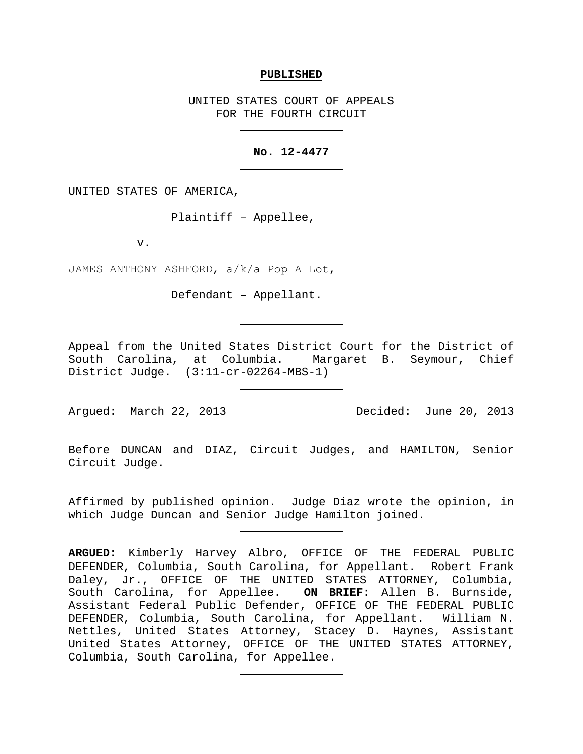#### **PUBLISHED**

UNITED STATES COURT OF APPEALS FOR THE FOURTH CIRCUIT

### **No. 12-4477**

UNITED STATES OF AMERICA,

Plaintiff – Appellee,

v.

JAMES ANTHONY ASHFORD, a/k/a Pop−A−Lot,

Defendant – Appellant.

Appeal from the United States District Court for the District of South Carolina, at Columbia. Margaret B. Seymour, Chief District Judge. (3:11-cr-02264-MBS-1)

Argued: March 22, 2013 Decided: June 20, 2013

Before DUNCAN and DIAZ, Circuit Judges, and HAMILTON, Senior Circuit Judge.

Affirmed by published opinion. Judge Diaz wrote the opinion, in which Judge Duncan and Senior Judge Hamilton joined.

**ARGUED:** Kimberly Harvey Albro, OFFICE OF THE FEDERAL PUBLIC DEFENDER, Columbia, South Carolina, for Appellant. Robert Frank Daley, Jr., OFFICE OF THE UNITED STATES ATTORNEY, Columbia,<br>South Carolina, for Appellee. **ON BRIEF:** Allen B. Burnside, South Carolina, for Appellee. Assistant Federal Public Defender, OFFICE OF THE FEDERAL PUBLIC DEFENDER, Columbia, South Carolina, for Appellant. William N. Nettles, United States Attorney, Stacey D. Haynes, Assistant United States Attorney, OFFICE OF THE UNITED STATES ATTORNEY, Columbia, South Carolina, for Appellee.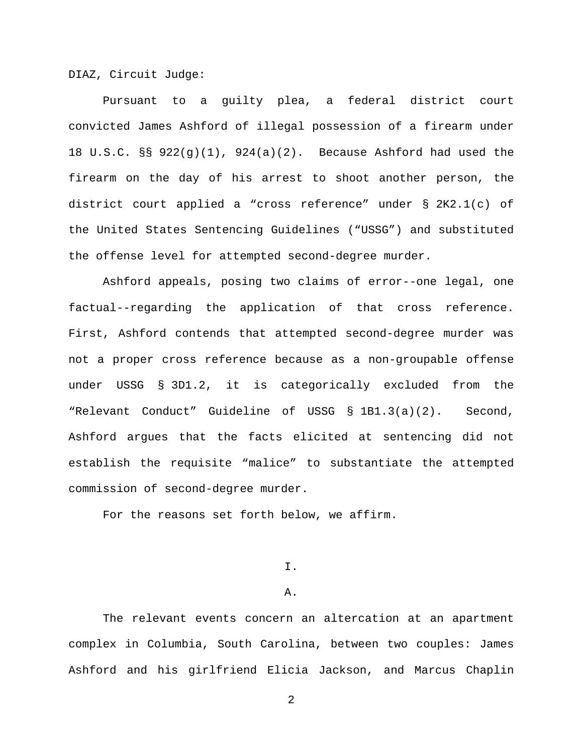DIAZ, Circuit Judge:

Pursuant to a guilty plea, a federal district court convicted James Ashford of illegal possession of a firearm under 18 U.S.C. §§ 922(g)(1), 924(a)(2). Because Ashford had used the firearm on the day of his arrest to shoot another person, the district court applied a "cross reference" under § 2K2.1(c) of the United States Sentencing Guidelines ("USSG") and substituted the offense level for attempted second-degree murder.

Ashford appeals, posing two claims of error--one legal, one factual--regarding the application of that cross reference. First, Ashford contends that attempted second-degree murder was not a proper cross reference because as a non-groupable offense under USSG § 3D1.2, it is categorically excluded from the "Relevant Conduct" Guideline of USSG § 1B1.3(a)(2). Second, Ashford argues that the facts elicited at sentencing did not establish the requisite "malice" to substantiate the attempted commission of second-degree murder.

For the reasons set forth below, we affirm.

I.

#### A.

The relevant events concern an altercation at an apartment complex in Columbia, South Carolina, between two couples: James Ashford and his girlfriend Elicia Jackson, and Marcus Chaplin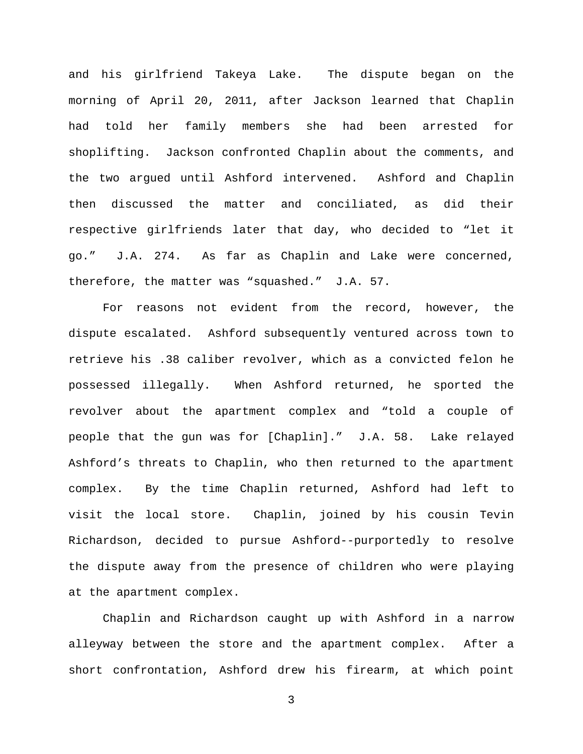and his girlfriend Takeya Lake. The dispute began on the morning of April 20, 2011, after Jackson learned that Chaplin had told her family members she had been arrested for shoplifting. Jackson confronted Chaplin about the comments, and the two argued until Ashford intervened. Ashford and Chaplin then discussed the matter and conciliated, as did their respective girlfriends later that day, who decided to "let it go." J.A. 274. As far as Chaplin and Lake were concerned, therefore, the matter was "squashed." J.A. 57.

For reasons not evident from the record, however, the dispute escalated. Ashford subsequently ventured across town to retrieve his .38 caliber revolver, which as a convicted felon he possessed illegally. When Ashford returned, he sported the revolver about the apartment complex and "told a couple of people that the gun was for [Chaplin]." J.A. 58. Lake relayed Ashford's threats to Chaplin, who then returned to the apartment complex. By the time Chaplin returned, Ashford had left to visit the local store. Chaplin, joined by his cousin Tevin Richardson, decided to pursue Ashford--purportedly to resolve the dispute away from the presence of children who were playing at the apartment complex.

Chaplin and Richardson caught up with Ashford in a narrow alleyway between the store and the apartment complex. After a short confrontation, Ashford drew his firearm, at which point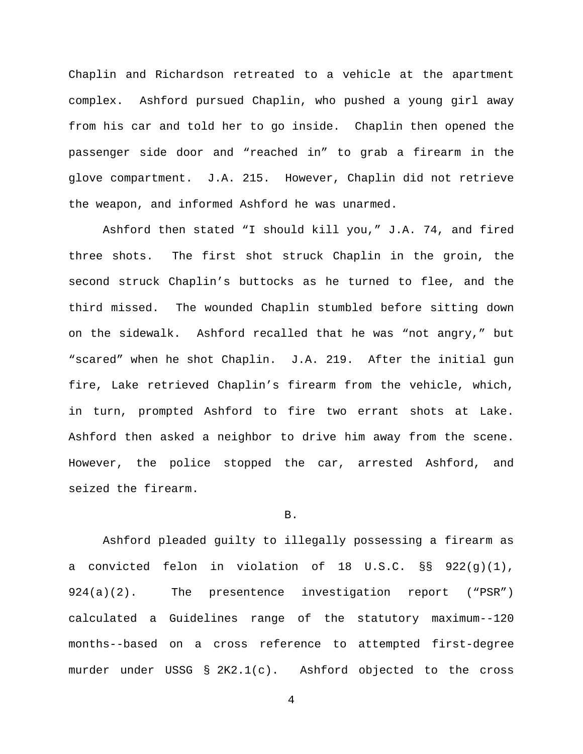Chaplin and Richardson retreated to a vehicle at the apartment complex. Ashford pursued Chaplin, who pushed a young girl away from his car and told her to go inside. Chaplin then opened the passenger side door and "reached in" to grab a firearm in the glove compartment. J.A. 215. However, Chaplin did not retrieve the weapon, and informed Ashford he was unarmed.

Ashford then stated "I should kill you," J.A. 74, and fired three shots. The first shot struck Chaplin in the groin, the second struck Chaplin's buttocks as he turned to flee, and the third missed. The wounded Chaplin stumbled before sitting down on the sidewalk. Ashford recalled that he was "not angry," but "scared" when he shot Chaplin. J.A. 219. After the initial gun fire, Lake retrieved Chaplin's firearm from the vehicle, which, in turn, prompted Ashford to fire two errant shots at Lake. Ashford then asked a neighbor to drive him away from the scene. However, the police stopped the car, arrested Ashford, and seized the firearm.

#### B.

Ashford pleaded guilty to illegally possessing a firearm as a convicted felon in violation of 18 U.S.C. §§ 922(g)(1), 924(a)(2). The presentence investigation report ("PSR") calculated a Guidelines range of the statutory maximum--120 months--based on a cross reference to attempted first-degree murder under USSG § 2K2.1(c). Ashford objected to the cross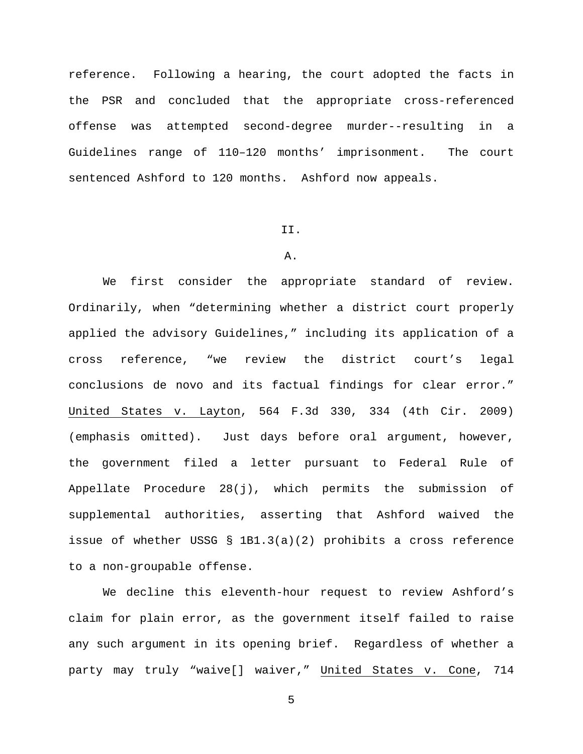reference. Following a hearing, the court adopted the facts in the PSR and concluded that the appropriate cross-referenced offense was attempted second-degree murder--resulting in a Guidelines range of 110–120 months' imprisonment. The court sentenced Ashford to 120 months. Ashford now appeals.

#### II.

## A.

We first consider the appropriate standard of review. Ordinarily, when "determining whether a district court properly applied the advisory Guidelines," including its application of a cross reference, "we review the district court's legal conclusions de novo and its factual findings for clear error." United States v. Layton, 564 F.3d 330, 334 (4th Cir. 2009) (emphasis omitted). Just days before oral argument, however, the government filed a letter pursuant to Federal Rule of Appellate Procedure 28(j), which permits the submission of supplemental authorities, asserting that Ashford waived the issue of whether USSG § 1B1.3(a)(2) prohibits a cross reference to a non-groupable offense.

We decline this eleventh-hour request to review Ashford's claim for plain error, as the government itself failed to raise any such argument in its opening brief. Regardless of whether a party may truly "waive[] waiver," United States v. Cone, 714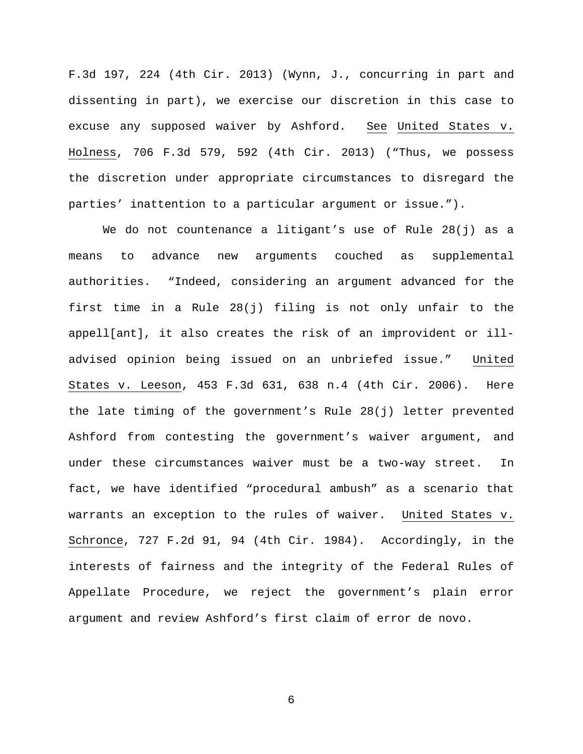F.3d 197, 224 (4th Cir. 2013) (Wynn, J., concurring in part and dissenting in part), we exercise our discretion in this case to excuse any supposed waiver by Ashford. See United States v. Holness, 706 F.3d 579, 592 (4th Cir. 2013) ("Thus, we possess the discretion under appropriate circumstances to disregard the parties' inattention to a particular argument or issue.").

We do not countenance a litigant's use of Rule 28(j) as a means to advance new arguments couched as supplemental authorities. "Indeed, considering an argument advanced for the first time in a Rule 28(j) filing is not only unfair to the appell[ant], it also creates the risk of an improvident or illadvised opinion being issued on an unbriefed issue." United States v. Leeson, 453 F.3d 631, 638 n.4 (4th Cir. 2006). Here the late timing of the government's Rule 28(j) letter prevented Ashford from contesting the government's waiver argument, and under these circumstances waiver must be a two-way street. In fact, we have identified "procedural ambush" as a scenario that warrants an exception to the rules of waiver. United States v. Schronce, 727 F.2d 91, 94 (4th Cir. 1984). Accordingly, in the interests of fairness and the integrity of the Federal Rules of Appellate Procedure, we reject the government's plain error argument and review Ashford's first claim of error de novo.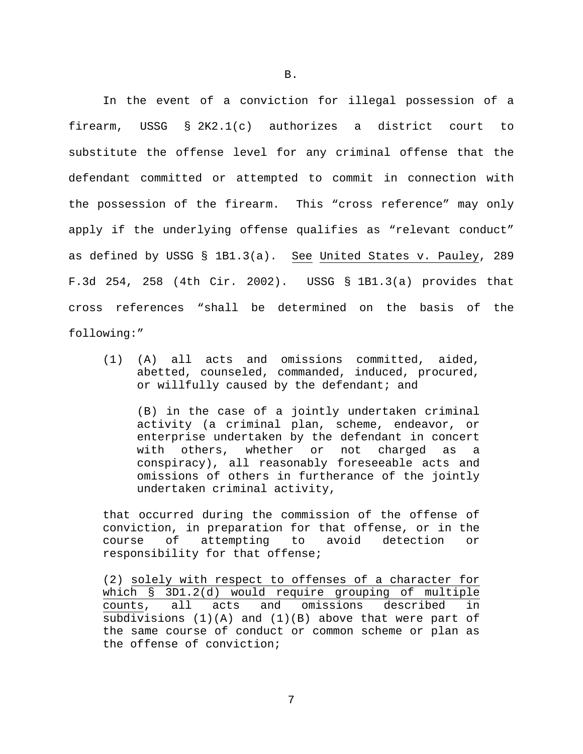In the event of a conviction for illegal possession of a firearm, USSG § 2K2.1(c) authorizes a district court to substitute the offense level for any criminal offense that the defendant committed or attempted to commit in connection with the possession of the firearm. This "cross reference" may only apply if the underlying offense qualifies as "relevant conduct" as defined by USSG § 1B1.3(a). See United States v. Pauley, 289 F.3d 254, 258 (4th Cir. 2002). USSG § 1B1.3(a) provides that cross references "shall be determined on the basis of the following:"

(1) (A) all acts and omissions committed, aided, abetted, counseled, commanded, induced, procured, or willfully caused by the defendant; and

(B) in the case of a jointly undertaken criminal activity (a criminal plan, scheme, endeavor, or enterprise undertaken by the defendant in concert with others, whether or not charged as a conspiracy), all reasonably foreseeable acts and omissions of others in furtherance of the jointly undertaken criminal activity,

that occurred during the commission of the offense of conviction, in preparation for that offense, or in the<br>course of attempting to avoid detection or course of attempting to avoid detection or responsibility for that offense;

(2) solely with respect to offenses of a character for which § 3D1.2(d) would require grouping of multiple counts, all acts and omissions described in subdivisions (1)(A) and (1)(B) above that were part of the same course of conduct or common scheme or plan as the offense of conviction;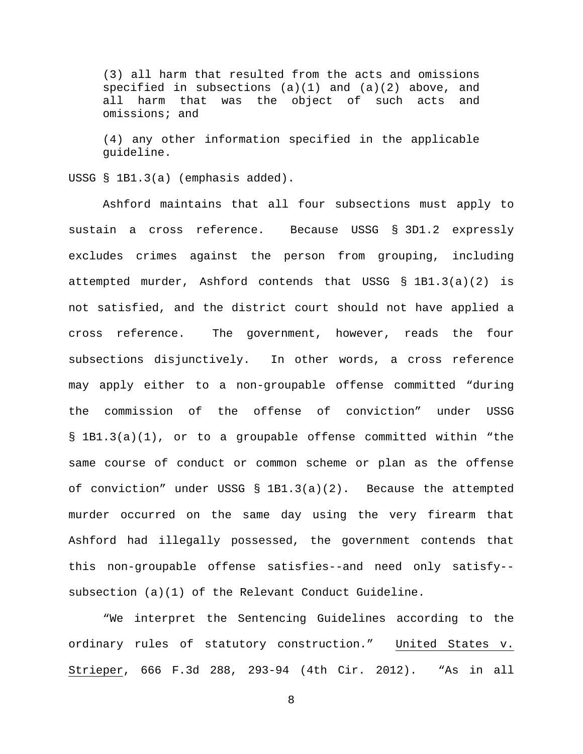(3) all harm that resulted from the acts and omissions specified in subsections (a)(1) and (a)(2) above, and all harm that was the object of such acts and omissions; and

(4) any other information specified in the applicable guideline.

USSG § 1B1.3(a) (emphasis added).

Ashford maintains that all four subsections must apply to sustain a cross reference. Because USSG § 3D1.2 expressly excludes crimes against the person from grouping, including attempted murder, Ashford contends that USSG § 1B1.3(a)(2) is not satisfied, and the district court should not have applied a cross reference. The government, however, reads the four subsections disjunctively. In other words, a cross reference may apply either to a non-groupable offense committed "during the commission of the offense of conviction" under USSG § 1B1.3(a)(1), or to a groupable offense committed within "the same course of conduct or common scheme or plan as the offense of conviction" under USSG  $\S$  1B1.3(a)(2). Because the attempted murder occurred on the same day using the very firearm that Ashford had illegally possessed, the government contends that this non-groupable offense satisfies--and need only satisfy- subsection (a)(1) of the Relevant Conduct Guideline.

"We interpret the Sentencing Guidelines according to the ordinary rules of statutory construction." United States v. Strieper, 666 F.3d 288, 293-94 (4th Cir. 2012). "As in all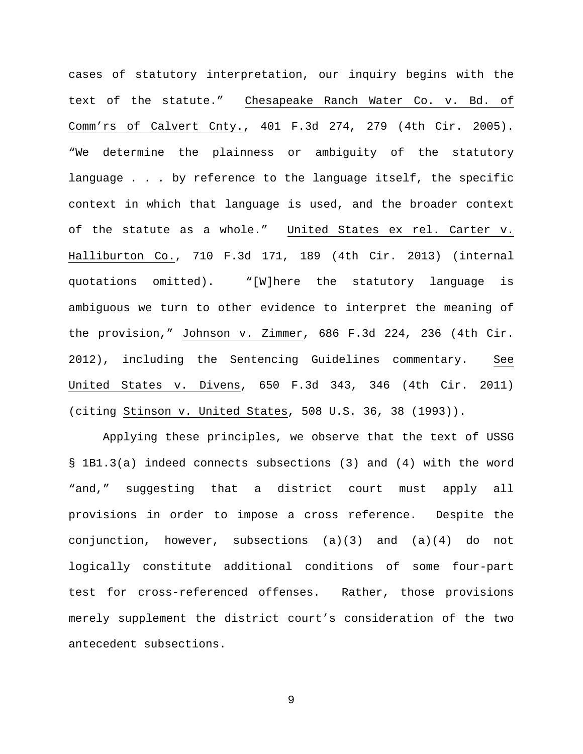cases of statutory interpretation, our inquiry begins with the text of the statute." Chesapeake Ranch Water Co. v. Bd. of Comm'rs of Calvert Cnty., 401 F.3d 274, 279 (4th Cir. 2005). "We determine the plainness or ambiguity of the statutory language . . . by reference to the language itself, the specific context in which that language is used, and the broader context of the statute as a whole." United States ex rel. Carter v. Halliburton Co., 710 F.3d 171, 189 (4th Cir. 2013) (internal quotations omitted). "[W]here the statutory language is ambiguous we turn to other evidence to interpret the meaning of the provision," Johnson v. Zimmer, 686 F.3d 224, 236 (4th Cir. 2012), including the Sentencing Guidelines commentary. See United States v. Divens, 650 F.3d 343, 346 (4th Cir. 2011) (citing Stinson v. United States, 508 U.S. 36, 38 (1993)).

Applying these principles, we observe that the text of USSG § 1B1.3(a) indeed connects subsections (3) and (4) with the word "and," suggesting that a district court must apply all provisions in order to impose a cross reference. Despite the conjunction, however, subsections  $(a)(3)$  and  $(a)(4)$  do not logically constitute additional conditions of some four-part test for cross-referenced offenses. Rather, those provisions merely supplement the district court's consideration of the two antecedent subsections.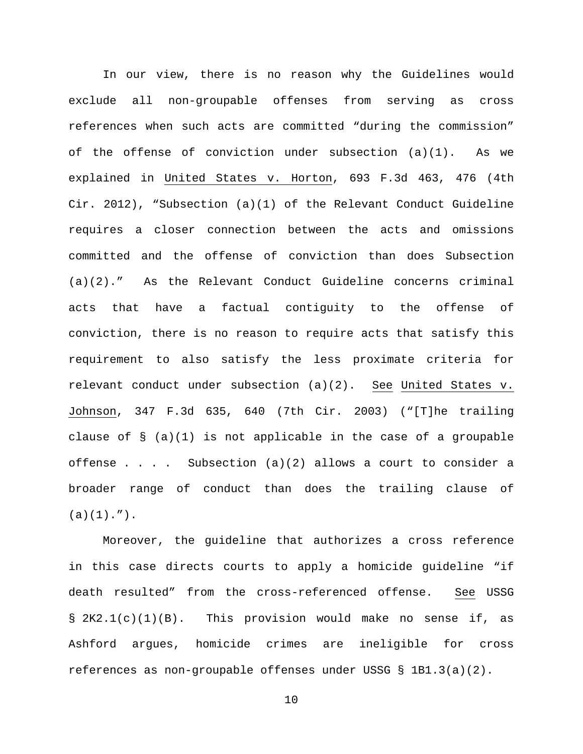In our view, there is no reason why the Guidelines would exclude all non-groupable offenses from serving as cross references when such acts are committed "during the commission" of the offense of conviction under subsection  $(a)(1)$ . As we explained in United States v. Horton, 693 F.3d 463, 476 (4th Cir. 2012), "Subsection (a)(1) of the Relevant Conduct Guideline requires a closer connection between the acts and omissions committed and the offense of conviction than does Subsection (a)(2)." As the Relevant Conduct Guideline concerns criminal acts that have a factual contiguity to the offense of conviction, there is no reason to require acts that satisfy this requirement to also satisfy the less proximate criteria for relevant conduct under subsection (a)(2). See United States v. Johnson, 347 F.3d 635, 640 (7th Cir. 2003) ("[T]he trailing clause of  $\S$  (a)(1) is not applicable in the case of a groupable offense . . . Subsection  $(a)(2)$  allows a court to consider a broader range of conduct than does the trailing clause of  $(a)(1)$ .").

Moreover, the guideline that authorizes a cross reference in this case directs courts to apply a homicide guideline "if death resulted" from the cross-referenced offense. See USSG § 2K2.1(c)(1)(B). This provision would make no sense if, as Ashford argues, homicide crimes are ineligible for cross references as non-groupable offenses under USSG § 1B1.3(a)(2).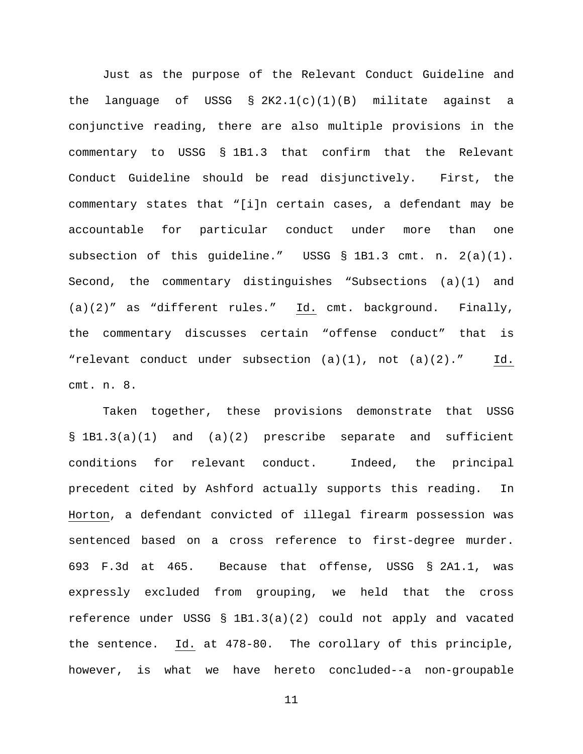Just as the purpose of the Relevant Conduct Guideline and the language of USSG  $\S 2K2.1(c)(1)(B)$  militate against a conjunctive reading, there are also multiple provisions in the commentary to USSG § 1B1.3 that confirm that the Relevant Conduct Guideline should be read disjunctively. First, the commentary states that "[i]n certain cases, a defendant may be accountable for particular conduct under more than one subsection of this guideline." USSG § 1B1.3 cmt. n. 2(a)(1). Second, the commentary distinguishes "Subsections (a)(1) and (a)(2)" as "different rules." Id. cmt. background. Finally, the commentary discusses certain "offense conduct" that is "relevant conduct under subsection  $(a)(1)$ , not  $(a)(2)$ ." Id. cmt. n. 8.

Taken together, these provisions demonstrate that USSG § 1B1.3(a)(1) and (a)(2) prescribe separate and sufficient conditions for relevant conduct. Indeed, the principal precedent cited by Ashford actually supports this reading. In Horton, a defendant convicted of illegal firearm possession was sentenced based on a cross reference to first-degree murder. 693 F.3d at 465. Because that offense, USSG § 2A1.1, was expressly excluded from grouping, we held that the cross reference under USSG § 1B1.3(a)(2) could not apply and vacated the sentence. Id. at 478-80. The corollary of this principle, however, is what we have hereto concluded--a non-groupable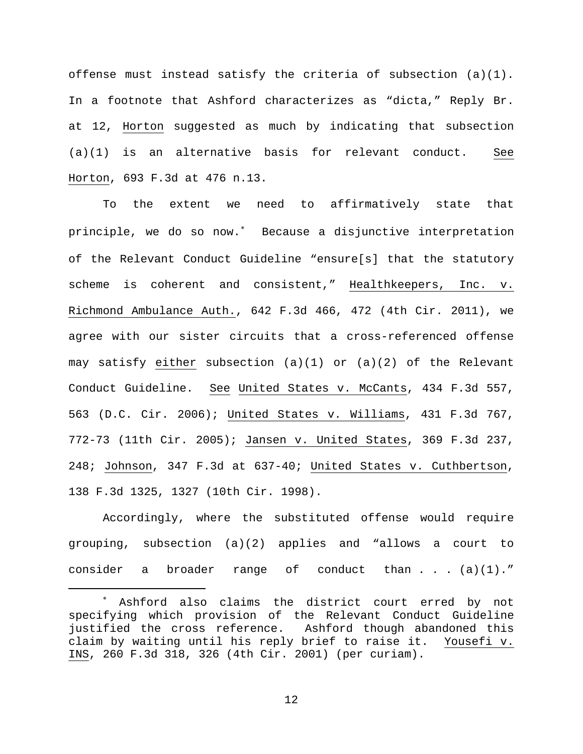offense must instead satisfy the criteria of subsection (a)(1). In a footnote that Ashford characterizes as "dicta," Reply Br. at 12, Horton suggested as much by indicating that subsection (a)(1) is an alternative basis for relevant conduct. See Horton, 693 F.3d at 476 n.13.

To the extent we need to affirmatively state that principle, we do so now.[∗](#page-11-0) Because a disjunctive interpretation of the Relevant Conduct Guideline "ensure[s] that the statutory scheme is coherent and consistent," Healthkeepers, Inc. v. Richmond Ambulance Auth., 642 F.3d 466, 472 (4th Cir. 2011), we agree with our sister circuits that a cross-referenced offense may satisfy either subsection (a)(1) or (a)(2) of the Relevant Conduct Guideline. See United States v. McCants, 434 F.3d 557, 563 (D.C. Cir. 2006); United States v. Williams, 431 F.3d 767, 772-73 (11th Cir. 2005); Jansen v. United States, 369 F.3d 237, 248; Johnson, 347 F.3d at 637-40; United States v. Cuthbertson, 138 F.3d 1325, 1327 (10th Cir. 1998).

Accordingly, where the substituted offense would require grouping, subsection (a)(2) applies and "allows a court to consider a broader range of conduct than . . . (a)(1)."

<span id="page-11-0"></span>Ashford also claims the district court erred by not specifying which provision of the Relevant Conduct Guideline justified the cross reference. Ashford though abandoned this<br>claim by waiting until his reply brief to raise it. Yousefi v. claim by waiting until his reply brief to raise it. INS, 260 F.3d 318, 326 (4th Cir. 2001) (per curiam).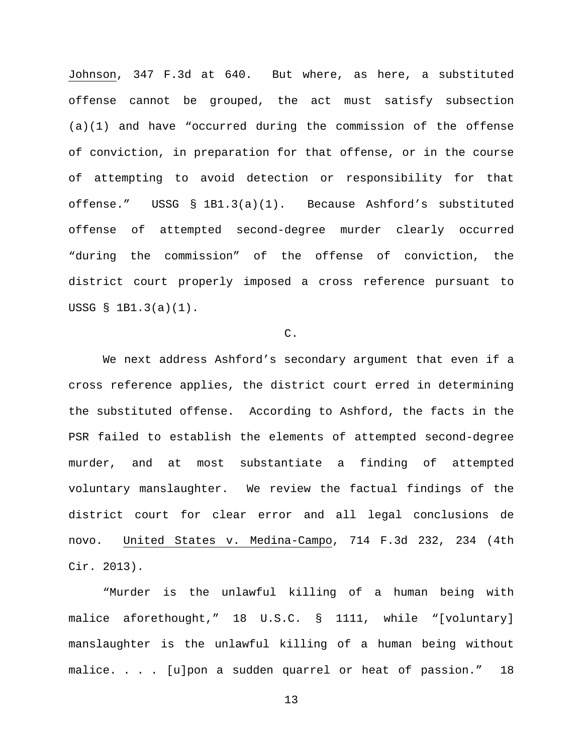Johnson, 347 F.3d at 640. But where, as here, a substituted offense cannot be grouped, the act must satisfy subsection (a)(1) and have "occurred during the commission of the offense of conviction, in preparation for that offense, or in the course of attempting to avoid detection or responsibility for that offense." USSG § 1B1.3(a)(1). Because Ashford's substituted offense of attempted second-degree murder clearly occurred "during the commission" of the offense of conviction, the district court properly imposed a cross reference pursuant to USSG § 1B1.3(a)(1).

#### C.

We next address Ashford's secondary argument that even if a cross reference applies, the district court erred in determining the substituted offense. According to Ashford, the facts in the PSR failed to establish the elements of attempted second-degree murder, and at most substantiate a finding of attempted voluntary manslaughter. We review the factual findings of the district court for clear error and all legal conclusions de novo. United States v. Medina-Campo, 714 F.3d 232, 234 (4th Cir. 2013).

"Murder is the unlawful killing of a human being with malice aforethought," 18 U.S.C. § 1111, while "[voluntary] manslaughter is the unlawful killing of a human being without malice. . . . [u]pon a sudden quarrel or heat of passion." 18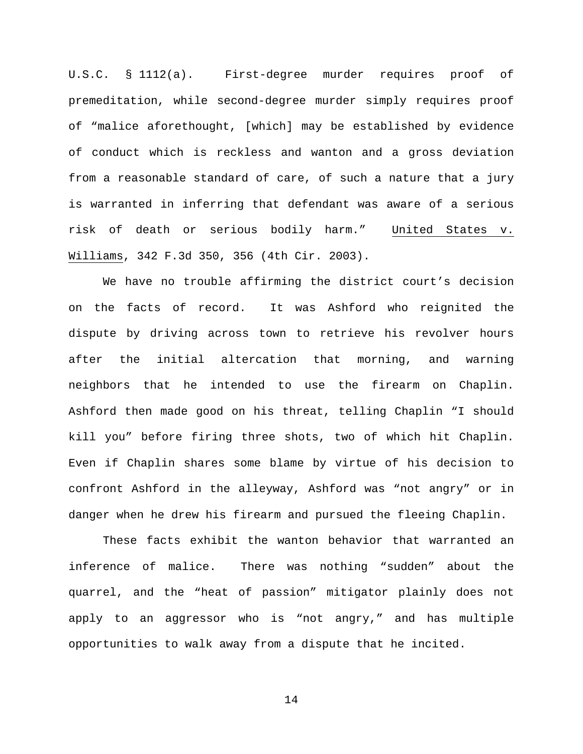U.S.C. § 1112(a). First-degree murder requires proof of premeditation, while second-degree murder simply requires proof of "malice aforethought, [which] may be established by evidence of conduct which is reckless and wanton and a gross deviation from a reasonable standard of care, of such a nature that a jury is warranted in inferring that defendant was aware of a serious risk of death or serious bodily harm." United States v. Williams, 342 F.3d 350, 356 (4th Cir. 2003).

We have no trouble affirming the district court's decision on the facts of record. It was Ashford who reignited the dispute by driving across town to retrieve his revolver hours after the initial altercation that morning, and warning neighbors that he intended to use the firearm on Chaplin. Ashford then made good on his threat, telling Chaplin "I should kill you" before firing three shots, two of which hit Chaplin. Even if Chaplin shares some blame by virtue of his decision to confront Ashford in the alleyway, Ashford was "not angry" or in danger when he drew his firearm and pursued the fleeing Chaplin.

These facts exhibit the wanton behavior that warranted an inference of malice. There was nothing "sudden" about the quarrel, and the "heat of passion" mitigator plainly does not apply to an aggressor who is "not angry," and has multiple opportunities to walk away from a dispute that he incited.